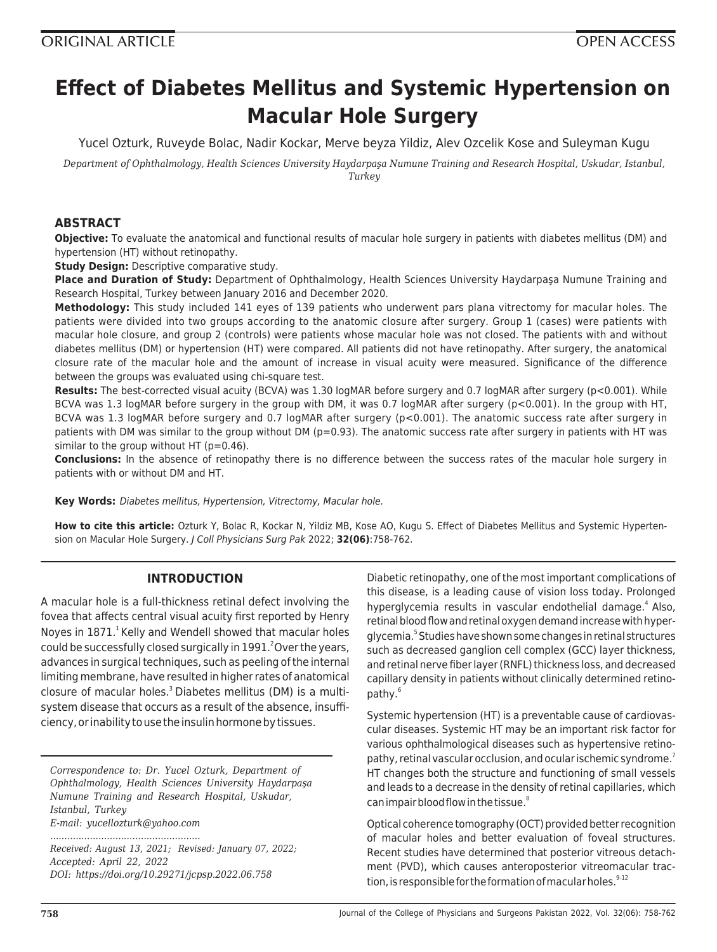# **Effect of Diabetes Mellitus and Systemic Hypertension on Macular Hole Surgery**

Yucel Ozturk, Ruveyde Bolac, Nadir Kockar, Merve beyza Yildiz, Alev Ozcelik Kose and Suleyman Kugu

*Department of Ophthalmology, Health Sciences University Haydarpaşa Numune Training and Research Hospital, Uskudar, Istanbul, Turkey*

## **ABSTRACT**

**Objective:** To evaluate the anatomical and functional results of macular hole surgery in patients with diabetes mellitus (DM) and hypertension (HT) without retinopathy.

**Study Design:** Descriptive comparative study.

**Place and Duration of Study:** Department of Ophthalmology, Health Sciences University Haydarpaşa Numune Training and Research Hospital, Turkey between January 2016 and December 2020.

**Methodology:** This study included 141 eyes of 139 patients who underwent pars plana vitrectomy for macular holes. The patients were divided into two groups according to the anatomic closure after surgery. Group 1 (cases) were patients with macular hole closure, and group 2 (controls) were patients whose macular hole was not closed. The patients with and without diabetes mellitus (DM) or hypertension (HT) were compared. All patients did not have retinopathy. After surgery, the anatomical closure rate of the macular hole and the amount of increase in visual acuity were measured. Significance of the difference between the groups was evaluated using chi-square test.

**Results:** The best-corrected visual acuity (BCVA) was 1.30 logMAR before surgery and 0.7 logMAR after surgery (p<0.001). While BCVA was 1.3 logMAR before surgery in the group with DM, it was 0.7 logMAR after surgery (p<0.001). In the group with HT, BCVA was 1.3 logMAR before surgery and 0.7 logMAR after surgery (p<0.001). The anatomic success rate after surgery in patients with DM was similar to the group without DM ( $p=0.93$ ). The anatomic success rate after surgery in patients with HT was similar to the group without HT (p=0.46).

**Conclusions:** In the absence of retinopathy there is no difference between the success rates of the macular hole surgery in patients with or without DM and HT.

**Key Words:** Diabetes mellitus, Hypertension, Vitrectomy, Macular hole.

**How to cite this article:** Ozturk Y, Bolac R, Kockar N, Yildiz MB, Kose AO, Kugu S. Effect of Diabetes Mellitus and Systemic Hypertension on Macular Hole Surgery. J Coll Physicians Surg Pak 2022; **32(06)**:758-762.

## **INTRODUCTION**

A macular hole is a full-thickness retinal defect involving the fovea that affects central visual acuity first reported by Henry Noyes in  $1871<sup>1</sup>$  Kelly and Wendell showed that macular holes could be successfully closed surgically in  $1991.<sup>2</sup>$  Over the years, advances in surgical techniques, such as peeling of the internal limiting membrane, have resulted in higher rates of anatomical closure of macular holes. $3$  Diabetes mellitus (DM) is a multisystem disease that occurs as a result of the absence, insufficiency, or inability to use the insulin hormone by tissues.

*Correspondence to: Dr. Yucel Ozturk, Department of Ophthalmology, Health Sciences University Haydarpaşa Numune Training and Research Hospital, Uskudar, Istanbul, Turkey E-mail: yucellozturk@yahoo.com*

*.....................................................*

*Received: August 13, 2021; Revised: January 07, 2022; Accepted: April 22, 2022 DOI: https://doi.org/10.29271/jcpsp.2022.06.758*

Diabetic retinopathy, one of the most important complications of this disease, is a leading cause of vision loss today. Prolonged hyperglycemia results in vascular endothelial damage.<sup>4</sup> Also, retinal blood flow and retinal oxygen demand increase with hyperglycemia.<sup>5</sup> Studies have shown some changes in retinal structures such as decreased ganglion cell complex (GCC) layer thickness, and retinal nerve fiber layer (RNFL) thickness loss, and decreased capillary density in patients without clinically determined retinopathy.<sup>6</sup>

Systemic hypertension (HT) is a preventable cause of cardiovascular diseases. Systemic HT may be an important risk factor for various ophthalmological diseases such as hypertensive retinopathy, retinal vascular occlusion, and ocular ischemic syndrome.<sup>7</sup> HT changes both the structure and functioning of small vessels and leads to a decrease in the density of retinal capillaries, which can impair blood flow in the tissue.<sup>8</sup>

Optical coherence tomography (OCT) provided better recognition of macular holes and better evaluation of foveal structures. Recent studies have determined that posterior vitreous detachment (PVD), which causes anteroposterior vitreomacular traction, is responsible for the formation of macular holes. $9-12$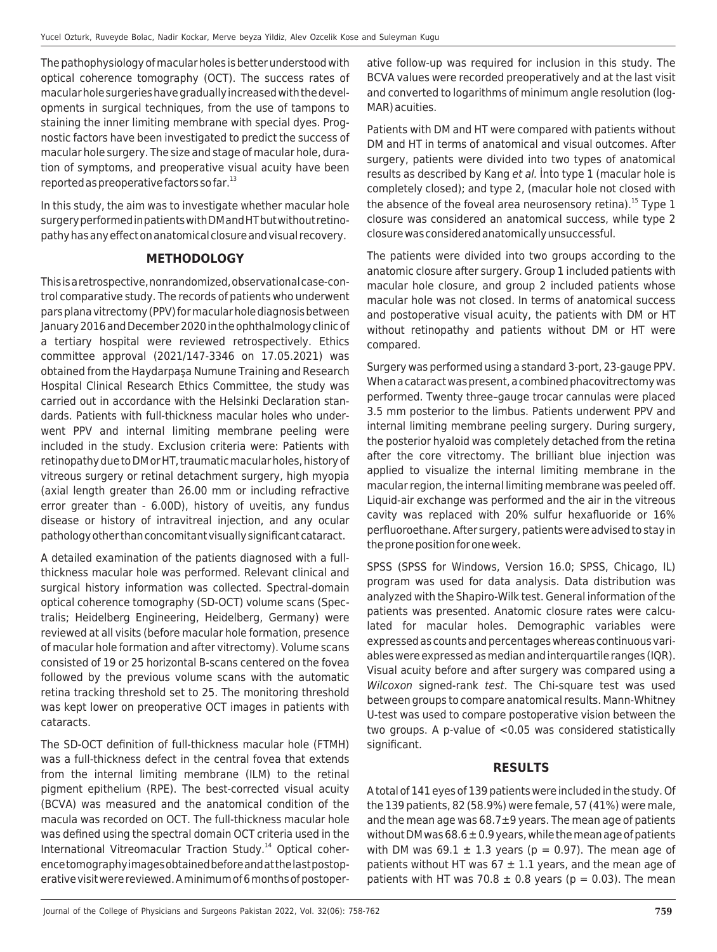The pathophysiology of macular holes is better understood with optical coherence tomography (OCT). The success rates of macular hole surgeries have gradually increased with the developments in surgical techniques, from the use of tampons to staining the inner limiting membrane with special dyes. Prognostic factors have been investigated to predict the success of macular hole surgery. The size and stage of macular hole, duration of symptoms, and preoperative visual acuity have been reported as preoperative factors so far. $^{13}$ 

In this study, the aim was to investigate whether macular hole surgery performed in patients with DM and HT but without retinopathy has any effect on anatomical closure and visual recovery.

## **METHODOLOGY**

This is a retrospective, nonrandomized, observational case-control comparative study. The records of patients who underwent pars plana vitrectomy (PPV) for macular hole diagnosis between January 2016 and December 2020 in the ophthalmology clinic of a tertiary hospital were reviewed retrospectively. Ethics committee approval (2021/147-3346 on 17.05.2021) was obtained from the Haydarpaşa Numune Training and Research Hospital Clinical Research Ethics Committee, the study was carried out in accordance with the Helsinki Declaration standards. Patients with full-thickness macular holes who underwent PPV and internal limiting membrane peeling were included in the study. Exclusion criteria were: Patients with retinopathy due to DM or HT, traumatic macular holes, history of vitreous surgery or retinal detachment surgery, high myopia (axial length greater than 26.00 mm or including refractive error greater than - 6.00D), history of uveitis, any fundus disease or history of intravitreal injection, and any ocular pathology other than concomitant visually significant cataract.

A detailed examination of the patients diagnosed with a fullthickness macular hole was performed. Relevant clinical and surgical history information was collected. Spectral-domain optical coherence tomography (SD-OCT) volume scans (Spectralis; Heidelberg Engineering, Heidelberg, Germany) were reviewed at all visits (before macular hole formation, presence of macular hole formation and after vitrectomy). Volume scans consisted of 19 or 25 horizontal B-scans centered on the fovea followed by the previous volume scans with the automatic retina tracking threshold set to 25. The monitoring threshold was kept lower on preoperative OCT images in patients with cataracts.

The SD-OCT definition of full-thickness macular hole (FTMH) was a full-thickness defect in the central fovea that extends from the internal limiting membrane (ILM) to the retinal pigment epithelium (RPE). The best-corrected visual acuity (BCVA) was measured and the anatomical condition of the macula was recorded on OCT. The full-thickness macular hole was defined using the spectral domain OCT criteria used in the International Vitreomacular Traction Study.<sup>14</sup> Optical coherence tomography images obtained before and at the last postoperative visit were reviewed. A minimum of 6 months of postoperative follow-up was required for inclusion in this study. The BCVA values were recorded preoperatively and at the last visit and converted to logarithms of minimum angle resolution (log-MAR) acuities.

Patients with DM and HT were compared with patients without DM and HT in terms of anatomical and visual outcomes. After surgery, patients were divided into two types of anatomical results as described by Kang et al. Into type 1 (macular hole is completely closed); and type 2, (macular hole not closed with the absence of the foveal area neurosensory retina).<sup>15</sup> Type 1 closure was considered an anatomical success, while type 2 closure was considered anatomically unsuccessful.

The patients were divided into two groups according to the anatomic closure after surgery. Group 1 included patients with macular hole closure, and group 2 included patients whose macular hole was not closed. In terms of anatomical success and postoperative visual acuity, the patients with DM or HT without retinopathy and patients without DM or HT were compared.

Surgery was performed using a standard 3-port, 23-gauge PPV. When a cataract was present, a combined phacovitrectomy was performed. Twenty three–gauge trocar cannulas were placed 3.5 mm posterior to the limbus. Patients underwent PPV and internal limiting membrane peeling surgery. During surgery, the posterior hyaloid was completely detached from the retina after the core vitrectomy. The brilliant blue injection was applied to visualize the internal limiting membrane in the macular region, the internal limiting membrane was peeled off. Liquid-air exchange was performed and the air in the vitreous cavity was replaced with 20% sulfur hexafluoride or 16% perfluoroethane. After surgery, patients were advised to stay in the prone position for one week.

SPSS (SPSS for Windows, Version 16.0; SPSS, Chicago, IL) program was used for data analysis. Data distribution was analyzed with the Shapiro-Wilk test. General information of the patients was presented. Anatomic closure rates were calculated for macular holes. Demographic variables were expressed as counts and percentages whereas continuous variables were expressed as median and interquartile ranges (IQR). Visual acuity before and after surgery was compared using a Wilcoxon signed-rank test. The Chi-square test was used between groups to compare anatomical results. Mann-Whitney U-test was used to compare postoperative vision between the two groups. A p-value of <0.05 was considered statistically significant.

## **RESULTS**

A total of 141 eyes of 139 patients were included in the study. Of the 139 patients, 82 (58.9%) were female, 57 (41%) were male, and the mean age was 68.7±9 years. The mean age of patients without DM was  $68.6 \pm 0.9$  years, while the mean age of patients with DM was  $69.1 \pm 1.3$  years (p = 0.97). The mean age of patients without HT was  $67 \pm 1.1$  years, and the mean age of patients with HT was 70.8  $\pm$  0.8 years (p = 0.03). The mean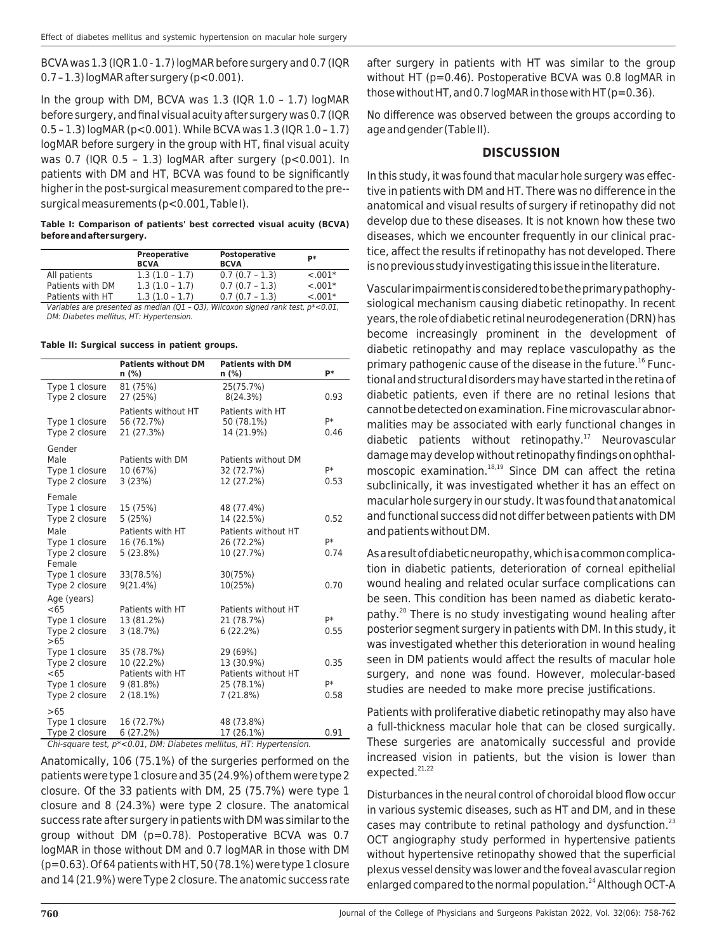BCVA was 1.3 (IQR 1.0 - 1.7) logMAR before surgery and 0.7 (IQR 0.7 – 1.3) logMAR after surgery (p<0.001).

In the group with DM, BCVA was 1.3 (IQR 1.0 – 1.7) logMAR before surgery, and final visual acuity after surgery was 0.7 (IQR 0.5 – 1.3) logMAR (p<0.001). While BCVA was 1.3 (IQR 1.0 – 1.7) logMAR before surgery in the group with HT, final visual acuity was 0.7 (IQR 0.5 – 1.3) logMAR after surgery (p<0.001). In patients with DM and HT, BCVA was found to be significantly higher in the post-surgical measurement compared to the pre- surgical measurements (p<0.001, Table I).

**Table I: Comparison of patients' best corrected visual acuity (BCVA) before and after surgery.**

|                                                                                        | Preoperative<br><b>BCVA</b> | Postoperative<br><b>BCVA</b> | <b>p</b> * |  |
|----------------------------------------------------------------------------------------|-----------------------------|------------------------------|------------|--|
| All patients                                                                           | $1.3(1.0 - 1.7)$            | $0.7(0.7 - 1.3)$             | $-.001*$   |  |
| Patients with DM                                                                       | $1.3(1.0 - 1.7)$            | $0.7(0.7 - 1.3)$             | $-.001*$   |  |
| Patients with HT                                                                       | $1.3(1.0 - 1.7)$            | $0.7(0.7 - 1.3)$             | $< 0.01*$  |  |
| Variables are presented as median (Q1 - Q3), Wilcoxon signed rank test, $p^* < 0.01$ , |                             |                              |            |  |
| DM: Diabetes mellitus, HT: Hypertension.                                               |                             |                              |            |  |

**Table II: Surgical success in patient groups.**

|                                                                              | <b>Patients without DM</b><br>n (%)                                   | <b>Patients with DM</b><br>n (%)                                        | <b>p</b> *         |  |
|------------------------------------------------------------------------------|-----------------------------------------------------------------------|-------------------------------------------------------------------------|--------------------|--|
| Type 1 closure<br>Type 2 closure                                             | 81 (75%)<br>27 (25%)                                                  | 25(75.7%)<br>8(24.3%)                                                   | 0.93               |  |
| Type 1 closure<br>Type 2 closure                                             | Patients without HT<br>56 (72.7%)<br>21 (27.3%)                       | Patients with HT<br>50 (78.1%)<br>14 (21.9%)                            | p*<br>0.46         |  |
| Gender<br>Male<br>Type 1 closure<br>Type 2 closure                           | Patients with DM<br>10 (67%)<br>3(23%)                                | Patients without DM<br>32 (72.7%)<br>12 (27.2%)                         | p*<br>0.53         |  |
| Female<br>Type 1 closure<br>Type 2 closure<br>Male                           | 15 (75%)<br>5(25%)<br>Patients with HT                                | 48 (77.4%)<br>14 (22.5%)<br>Patients without HT                         | 0.52               |  |
| Type 1 closure<br>Type 2 closure<br>Female                                   | 16 (76.1%)<br>5(23.8%)                                                | 26 (72.2%)<br>10 (27.7%)                                                | p*<br>0.74         |  |
| Type 1 closure<br>Type 2 closure                                             | 33(78.5%)<br>$9(21.4\%)$                                              | 30(75%)<br>10(25%)                                                      | 0.70               |  |
| Age (years)<br>< 65<br>Type 1 closure<br>Type 2 closure<br>>65               | Patients with HT<br>13 (81.2%)<br>3(18.7%)                            | Patients without HT<br>21 (78.7%)<br>6(22.2%)                           | p*<br>0.55         |  |
| Type 1 closure<br>Type 2 closure<br>< 65<br>Type 1 closure<br>Type 2 closure | 35 (78.7%)<br>10 (22.2%)<br>Patients with HT<br>9(81.8%)<br>2 (18.1%) | 29 (69%)<br>13 (30.9%)<br>Patients without HT<br>25 (78.1%)<br>7(21.8%) | 0.35<br>p*<br>0.58 |  |
| >65<br>Type 1 closure<br>Type 2 closure                                      | 16 (72.7%)<br>6(27.2%)                                                | 48 (73.8%)<br>17 (26.1%)                                                | 0.91               |  |
| Chi-square test. p*<0.01. DM: Diabetes mellitus. HT: Hypertension.           |                                                                       |                                                                         |                    |  |

Anatomically, 106 (75.1%) of the surgeries performed on the patients were type 1 closure and 35 (24.9%) of them were type 2 closure. Of the 33 patients with DM, 25 (75.7%) were type 1 closure and 8 (24.3%) were type 2 closure. The anatomical success rate after surgery in patients with DM was similar to the group without DM (p=0.78). Postoperative BCVA was 0.7 logMAR in those without DM and 0.7 logMAR in those with DM (p=0.63). Of 64 patients with HT, 50 (78.1%) were type 1 closure and 14 (21.9%) were Type 2 closure. The anatomic success rate after surgery in patients with HT was similar to the group without HT (p=0.46). Postoperative BCVA was 0.8 logMAR in those without HT, and 0.7 logMAR in those with HT ( $p=0.36$ ).

No difference was observed between the groups according to age and gender (Table II).

#### **DISCUSSION**

In this study, it was found that macular hole surgery was effective in patients with DM and HT. There was no difference in the anatomical and visual results of surgery if retinopathy did not develop due to these diseases. It is not known how these two diseases, which we encounter frequently in our clinical practice, affect the results if retinopathy has not developed. There is no previous study investigating this issue in the literature.

Vascular impairment is considered to be the primary pathophysiological mechanism causing diabetic retinopathy. In recent years, the role of diabetic retinal neurodegeneration (DRN) has become increasingly prominent in the development of diabetic retinopathy and may replace vasculopathy as the primary pathogenic cause of the disease in the future.<sup>16</sup> Functional and structural disorders may have started in the retina of diabetic patients, even if there are no retinal lesions that cannot be detected on examination. Fine microvascular abnormalities may be associated with early functional changes in diabetic patients without retinopathy. $17$  Neurovascular damage may develop without retinopathy findings on ophthalmoscopic examination.<sup>18,19</sup> Since DM can affect the retina subclinically, it was investigated whether it has an effect on macular hole surgery in our study. It was found that anatomical and functional success did not differ between patients with DM and patients without DM.

As a result of diabetic neuropathy, which is a common complication in diabetic patients, deterioration of corneal epithelial wound healing and related ocular surface complications can be seen. This condition has been named as diabetic keratopathy.<sup>20</sup> There is no study investigating wound healing after posterior segment surgery in patients with DM. In this study, it was investigated whether this deterioration in wound healing seen in DM patients would affect the results of macular hole surgery, and none was found. However, molecular-based studies are needed to make more precise justifications.

Patients with proliferative diabetic retinopathy may also have a full-thickness macular hole that can be closed surgically. These surgeries are anatomically successful and provide increased vision in patients, but the vision is lower than expected.<sup>21,22</sup>

Disturbances in the neural control of choroidal blood flow occur in various systemic diseases, such as HT and DM, and in these cases may contribute to retinal pathology and dysfunction.<sup>23</sup> OCT angiography study performed in hypertensive patients without hypertensive retinopathy showed that the superficial plexus vessel density was lower and the foveal avascular region enlarged compared to the normal population.<sup>24</sup> Although OCT-A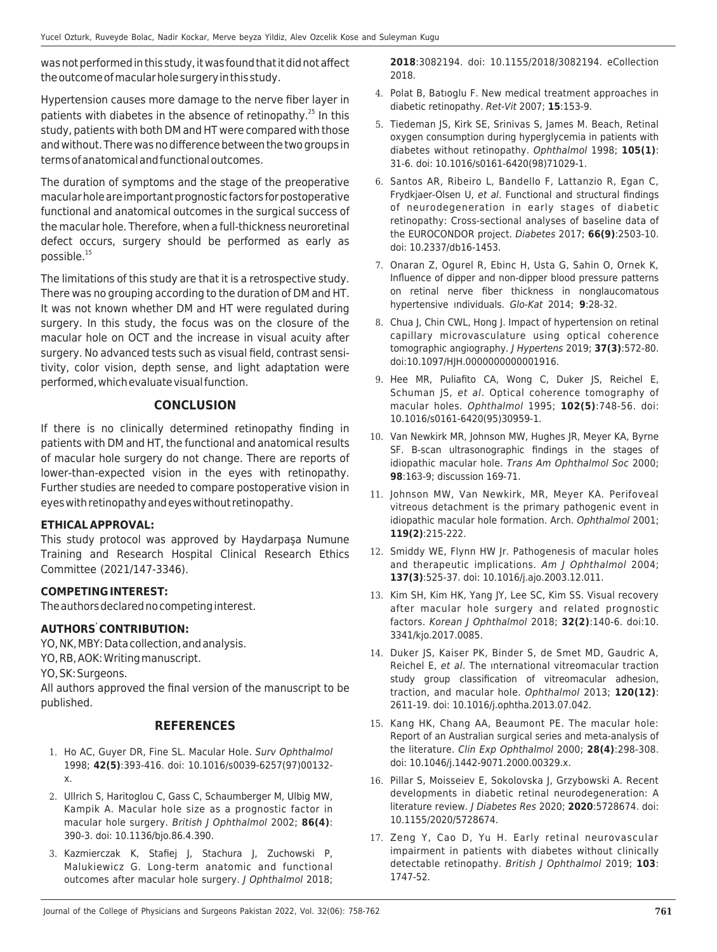was not performed in this study, it was found that it did not affect the outcome of macular hole surgery in this study.

Hypertension causes more damage to the nerve fiber layer in patients with diabetes in the absence of retinopathy.<sup>25</sup> In this study, patients with both DM and HT were compared with those and without. There was no difference between the two groups in terms of anatomical and functional outcomes.

The duration of symptoms and the stage of the preoperative macular hole are important prognostic factors for postoperative functional and anatomical outcomes in the surgical success of the macular hole. Therefore, when a full-thickness neuroretinal defect occurs, surgery should be performed as early as possible.<sup>15</sup>

The limitations of this study are that it is a retrospective study. There was no grouping according to the duration of DM and HT. It was not known whether DM and HT were regulated during surgery. In this study, the focus was on the closure of the macular hole on OCT and the increase in visual acuity after surgery. No advanced tests such as visual field, contrast sensitivity, color vision, depth sense, and light adaptation were performed, which evaluate visual function.

## **CONCLUSION**

If there is no clinically determined retinopathy finding in patients with DM and HT, the functional and anatomical results of macular hole surgery do not change. There are reports of lower-than-expected vision in the eyes with retinopathy. Further studies are needed to compare postoperative vision in eyes with retinopathy and eyes without retinopathy.

## **ETHICAL APPROVAL:**

This study protocol was approved by Haydarpaşa Numune Training and Research Hospital Clinical Research Ethics Committee (2021/147-3346).

## **COMPETING INTEREST:**

The authors declared no competing interest.

## **AUTHORS' CONTRIBUTION:**

YO, NK, MBY: Data collection, and analysis.

YO, RB, AOK: Writing manuscript.

YO, SK: Surgeons.

All authors approved the final version of the manuscript to be published.

## **REFERENCES**

- 1. Ho AC, Guyer DR, Fine SL. Macular Hole. Surv Ophthalmol 1998; **42(5)**:393-416. doi: 10.1016/s0039-6257(97)00132 x.
- 2. Ullrich S, Haritoglou C, Gass C, Schaumberger M, Ulbig MW, Kampik A. Macular hole size as a prognostic factor in macular hole surgery. British J Ophthalmol 2002; **86(4)**: 390-3. doi: 10.1136/bjo.86.4.390.
- 3. Kazmierczak K, Stafiej J, Stachura J, Zuchowski P, Malukiewicz G. Long-term anatomic and functional outcomes after macular hole surgery. J Ophthalmol 2018;

**2018**:3082194. doi: 10.1155/2018/3082194. eCollection 2018.

- 4. Polat B, Batıoglu F. New medical treatment approaches in diabetic retinopathy. Ret-Vit 2007; **15**:153-9.
- 5. Tiedeman JS, Kirk SE, Srinivas S, James M. Beach, Retinal oxygen consumption during hyperglycemia in patients with diabetes without retinopathy. Ophthalmol 1998; **105(1)**: 31-6. doi: 10.1016/s0161-6420(98)71029-1.
- 6. Santos AR, Ribeiro L, Bandello F, Lattanzio R, Egan C, Frydkjaer-Olsen U, et al. Functional and structural findings of neurodegeneration in early stages of diabetic retinopathy: Cross-sectional analyses of baseline data of the EUROCONDOR project. Diabetes 2017; **66(9)**:2503-10. doi: 10.2337/db16-1453.
- 7. Onaran Z, Ogurel R, Ebinc H, Usta G, Sahin O, Ornek K, Influence of dipper and non-dipper blood pressure patterns on retinal nerve fiber thickness in nonglaucomatous hypertensive ındividuals. Glo-Kat 2014; **9**:28-32.
- 8. Chua J, Chin CWL, Hong J. Impact of hypertension on retinal capillary microvasculature using optical coherence tomographic angiography. J Hypertens 2019; **37(3)**:572-80. doi:10.1097/HJH.0000000000001916.
- 9. Hee MR, Puliafito CA, Wong C, Duker JS, Reichel E, Schuman JS, et al. Optical coherence tomography of macular holes. Ophthalmol 1995; **102(5)**:748-56. doi: 10.1016/s0161-6420(95)30959-1.
- 10. Van Newkirk MR, Johnson MW, Hughes JR, Meyer KA, Byrne SF. B-scan ultrasonographic findings in the stages of idiopathic macular hole. Trans Am Ophthalmol Soc 2000; **98**:163-9; discussion 169-71.
- 11. Johnson MW, Van Newkirk, MR, Meyer KA. Perifoveal vitreous detachment is the primary pathogenic event in idiopathic macular hole formation. Arch. Ophthalmol 2001; **119(2)**:215-222.
- 12. Smiddy WE, Flynn HW Jr. Pathogenesis of macular holes and therapeutic implications. Am J Ophthalmol 2004; **137(3)**:525-37. doi: 10.1016/j.ajo.2003.12.011.
- 13. Kim SH, Kim HK, Yang JY, Lee SC, Kim SS. Visual recovery after macular hole surgery and related prognostic factors. Korean J Ophthalmol 2018; **32(2)**:140-6. doi:10. 3341/kjo.2017.0085.
- 14. Duker JS, Kaiser PK, Binder S, de Smet MD, Gaudric A, Reichel E, et al. The ınternational vitreomacular traction study group classification of vitreomacular adhesion, traction, and macular hole. Ophthalmol 2013; **120(12)**: 2611-19. doi: 10.1016/j.ophtha.2013.07.042.
- 15. Kang HK, Chang AA, Beaumont PE. The macular hole: Report of an Australian surgical series and meta-analysis of the literature. Clin Exp Ophthalmol 2000; **28(4)**:298-308. doi: 10.1046/j.1442-9071.2000.00329.x.
- 16. Pillar S, Moisseiev E, Sokolovska J, Grzybowski A. Recent developments in diabetic retinal neurodegeneration: A literature review. J Diabetes Res 2020; **2020**:5728674. doi: 10.1155/2020/5728674.
- 17. Zeng Y, Cao D, Yu H. Early retinal neurovascular impairment in patients with diabetes without clinically detectable retinopathy. British J Ophthalmol 2019; **103**: 1747-52.